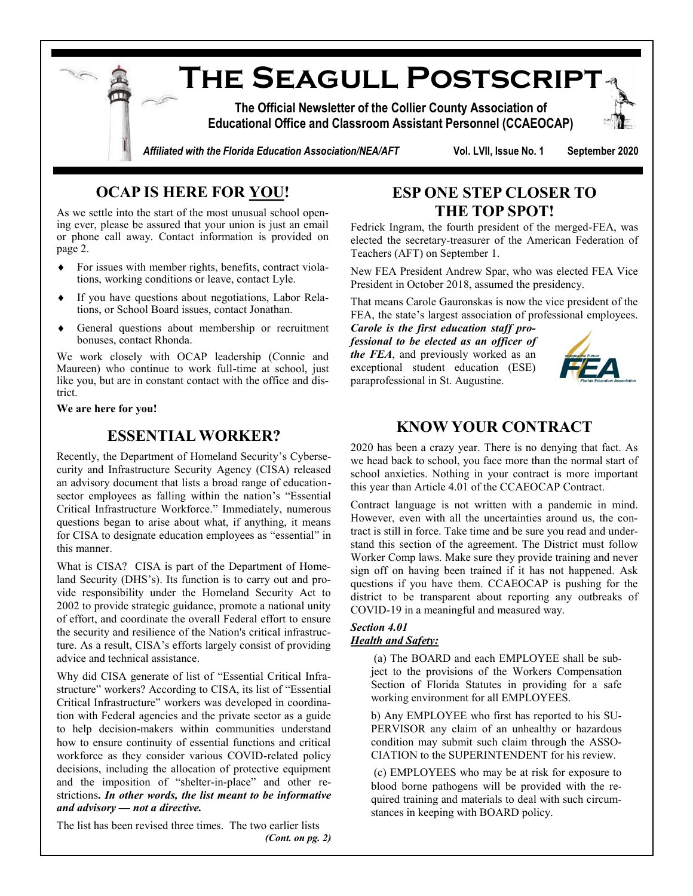

# **OCAP IS HERE FOR YOU!**

As we settle into the start of the most unusual school opening ever, please be assured that your union is just an email or phone call away. Contact information is provided on page 2.

- For issues with member rights, benefits, contract violations, working conditions or leave, contact Lyle.
- If you have questions about negotiations, Labor Relations, or School Board issues, contact Jonathan.
- General questions about membership or recruitment bonuses, contact Rhonda.

We work closely with OCAP leadership (Connie and Maureen) who continue to work full-time at school, just like you, but are in constant contact with the office and district.

**We are here for you!**

## **ESSENTIAL WORKER?**

Recently, the Department of Homeland Security's Cybersecurity and Infrastructure Security Agency (CISA) released an advisory document that lists a broad range of educationsector employees as falling within the nation's "Essential Critical Infrastructure Workforce." Immediately, numerous questions began to arise about what, if anything, it means for CISA to designate education employees as "essential" in this manner.

What is CISA? CISA is part of the Department of Homeland Security (DHS's). Its function is to carry out and provide responsibility under the Homeland Security Act to 2002 to provide strategic guidance, promote a national unity of effort, and coordinate the overall Federal effort to ensure the security and resilience of the Nation's critical infrastructure. As a result, CISA's efforts largely consist of providing advice and technical assistance.

Why did CISA generate of list of "Essential Critical Infrastructure" workers? According to CISA, its list of "Essential Critical Infrastructure" workers was developed in coordination with Federal agencies and the private sector as a guide to help decision-makers within communities understand how to ensure continuity of essential functions and critical workforce as they consider various COVID-related policy decisions, including the allocation of protective equipment and the imposition of "shelter-in-place" and other restrictions**.** *In other words, the list meant to be informative and advisory — not a directive.*

The list has been revised three times. The two earlier lists *(Cont. on pg. 2)*

## **ESP ONE STEP CLOSER TO THE TOP SPOT!**

Fedrick Ingram, the fourth president of the merged-FEA, was elected the secretary-treasurer of the American Federation of Teachers (AFT) on September 1.

New FEA President Andrew Spar, who was elected FEA Vice President in October 2018, assumed the presidency.

That means Carole Gauronskas is now the vice president of the FEA, the state's largest association of professional employees.

*Carole is the first education staff professional to be elected as an officer of the FEA*, and previously worked as an exceptional student education (ESE) paraprofessional in St. Augustine.



### **KNOW YOUR CONTRACT**

2020 has been a crazy year. There is no denying that fact. As we head back to school, you face more than the normal start of school anxieties. Nothing in your contract is more important this year than Article 4.01 of the CCAEOCAP Contract.

Contract language is not written with a pandemic in mind. However, even with all the uncertainties around us, the contract is still in force. Take time and be sure you read and understand this section of the agreement. The District must follow Worker Comp laws. Make sure they provide training and never sign off on having been trained if it has not happened. Ask questions if you have them. CCAEOCAP is pushing for the district to be transparent about reporting any outbreaks of COVID-19 in a meaningful and measured way.

#### *Section 4.01 Health and Safety:*

(a) The BOARD and each EMPLOYEE shall be subject to the provisions of the Workers Compensation Section of Florida Statutes in providing for a safe working environment for all EMPLOYEES.

b) Any EMPLOYEE who first has reported to his SU-PERVISOR any claim of an unhealthy or hazardous condition may submit such claim through the ASSO-CIATION to the SUPERINTENDENT for his review.

(c) EMPLOYEES who may be at risk for exposure to blood borne pathogens will be provided with the required training and materials to deal with such circumstances in keeping with BOARD policy.